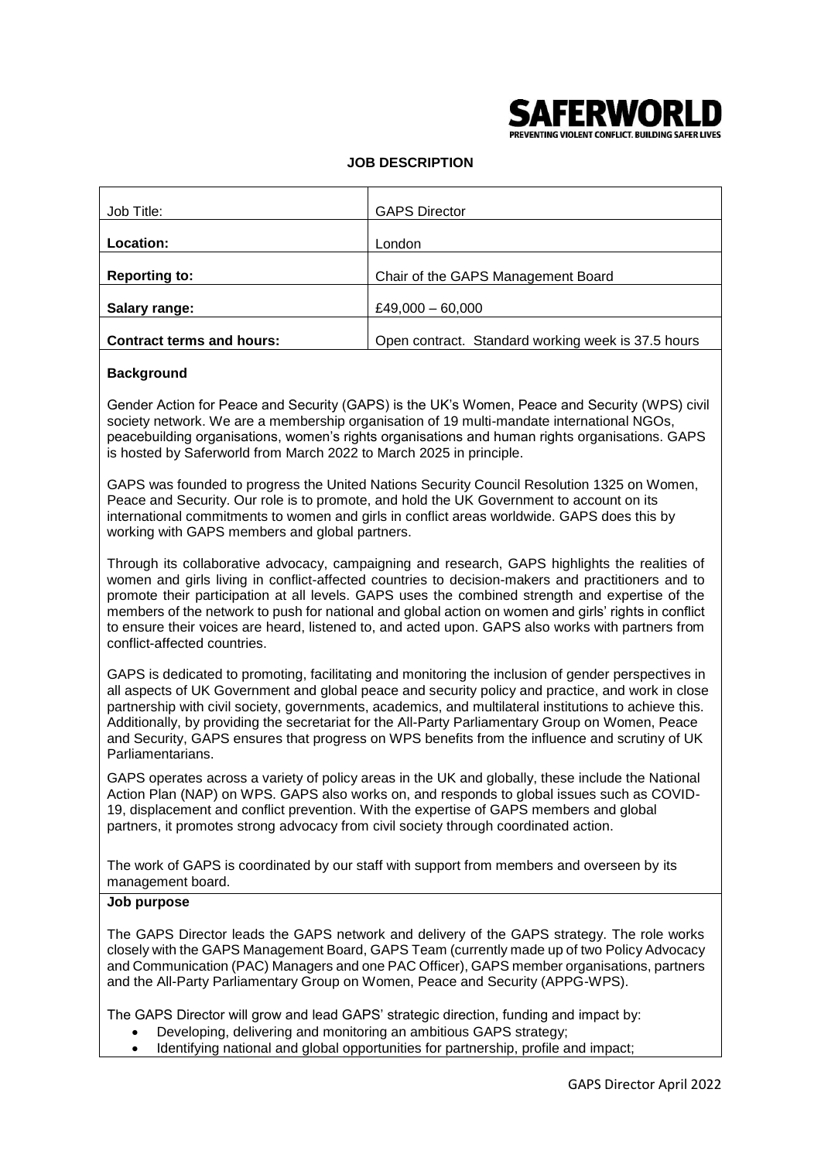

PREVENTING VIOLENT CONFLICT. BUILDING SAFER LIVES

# **JOB DESCRIPTION**

| Job Title:                       | <b>GAPS Director</b>                               |
|----------------------------------|----------------------------------------------------|
| Location:                        | London                                             |
| <b>Reporting to:</b>             | Chair of the GAPS Management Board                 |
| Salary range:                    | £49,000 $-60,000$                                  |
| <b>Contract terms and hours:</b> | Open contract. Standard working week is 37.5 hours |

#### **Background**

Gender Action for Peace and Security (GAPS) is the UK's Women, Peace and Security (WPS) civil society network. We are a membership organisation of 19 multi-mandate international NGOs, peacebuilding organisations, women's rights organisations and human rights organisations. GAPS is hosted by Saferworld from March 2022 to March 2025 in principle.

GAPS was founded to progress the United Nations Security Council Resolution 1325 on Women, Peace and Security. Our role is to promote, and hold the UK Government to account on its international commitments to women and girls in conflict areas worldwide. GAPS does this by working with GAPS members and global partners.

Through its collaborative advocacy, campaigning and research, GAPS highlights the realities of women and girls living in conflict-affected countries to decision-makers and practitioners and to promote their participation at all levels. GAPS uses the combined strength and expertise of the members of the network to push for national and global action on women and girls' rights in conflict to ensure their voices are heard, listened to, and acted upon. GAPS also works with partners from conflict-affected countries.

GAPS is dedicated to promoting, facilitating and monitoring the inclusion of gender perspectives in all aspects of UK Government and global peace and security policy and practice, and work in close partnership with civil society, governments, academics, and multilateral institutions to achieve this. Additionally, by providing the secretariat for the All-Party Parliamentary Group on Women, Peace and Security, GAPS ensures that progress on WPS benefits from the influence and scrutiny of UK Parliamentarians.

GAPS operates across a variety of policy areas in the UK and globally, these include the National Action Plan (NAP) on WPS. GAPS also works on, and responds to global issues such as COVID-19, displacement and conflict prevention. With the expertise of GAPS members and global partners, it promotes strong advocacy from civil society through coordinated action.

The work of GAPS is coordinated by our staff with support from members and overseen by its management board.

#### **Job purpose**

The GAPS Director leads the GAPS network and delivery of the GAPS strategy. The role works closely with the GAPS Management Board, GAPS Team (currently made up of two Policy Advocacy and Communication (PAC) Managers and one PAC Officer), GAPS member organisations, partners and the All-Party Parliamentary Group on Women, Peace and Security (APPG-WPS).

The GAPS Director will grow and lead GAPS' strategic direction, funding and impact by:

- Developing, delivering and monitoring an ambitious GAPS strategy;
- Identifying national and global opportunities for partnership, profile and impact;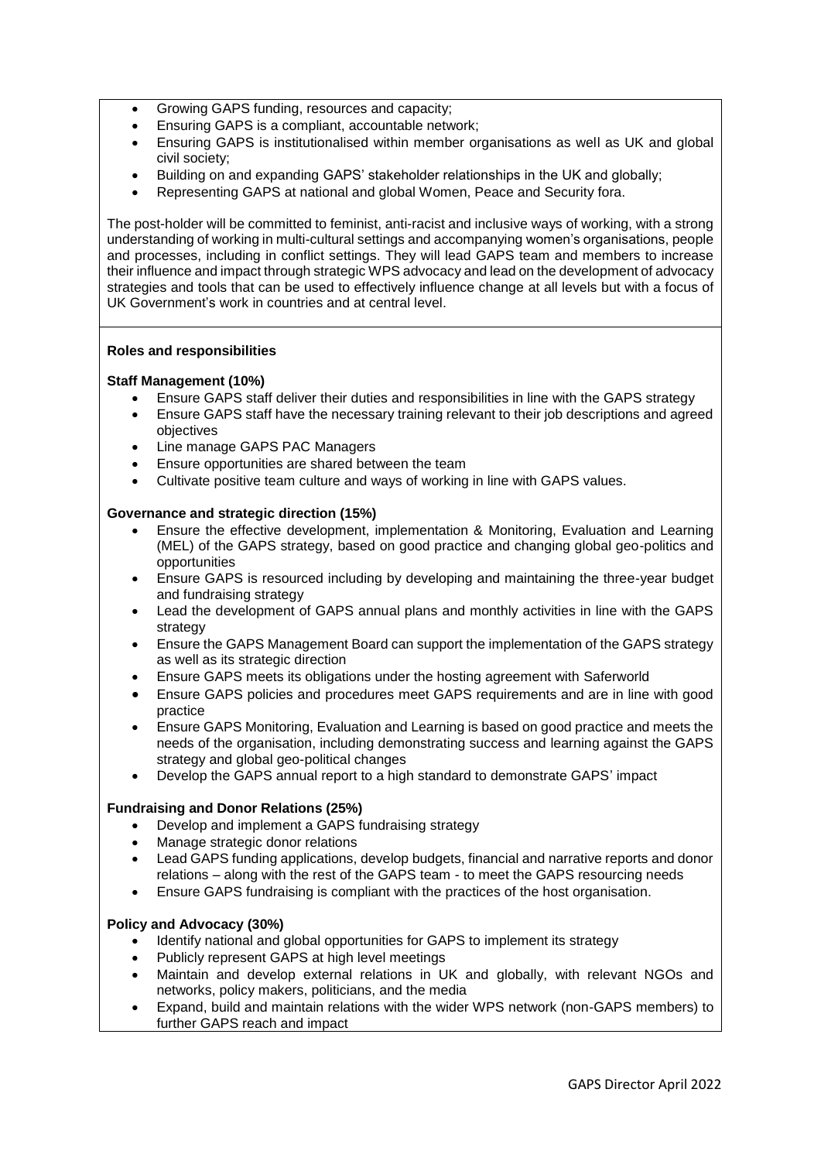- Growing GAPS funding, resources and capacity;
- Ensuring GAPS is a compliant, accountable network;
- Ensuring GAPS is institutionalised within member organisations as well as UK and global civil society;
- Building on and expanding GAPS' stakeholder relationships in the UK and globally;
- Representing GAPS at national and global Women, Peace and Security fora.

The post-holder will be committed to feminist, anti-racist and inclusive ways of working, with a strong understanding of working in multi-cultural settings and accompanying women's organisations, people and processes, including in conflict settings. They will lead GAPS team and members to increase their influence and impact through strategic WPS advocacy and lead on the development of advocacy strategies and tools that can be used to effectively influence change at all levels but with a focus of UK Government's work in countries and at central level.

#### **Roles and responsibilities**

#### **Staff Management (10%)**

- Ensure GAPS staff deliver their duties and responsibilities in line with the GAPS strategy
- Ensure GAPS staff have the necessary training relevant to their job descriptions and agreed objectives
- Line manage GAPS PAC Managers
- Ensure opportunities are shared between the team
- Cultivate positive team culture and ways of working in line with GAPS values.

#### **Governance and strategic direction (15%)**

- Ensure the effective development, implementation & Monitoring, Evaluation and Learning (MEL) of the GAPS strategy, based on good practice and changing global geo-politics and opportunities
- Ensure GAPS is resourced including by developing and maintaining the three-year budget and fundraising strategy
- Lead the development of GAPS annual plans and monthly activities in line with the GAPS strategy
- Ensure the GAPS Management Board can support the implementation of the GAPS strategy as well as its strategic direction
- Ensure GAPS meets its obligations under the hosting agreement with Saferworld
- Ensure GAPS policies and procedures meet GAPS requirements and are in line with good practice
- Ensure GAPS Monitoring, Evaluation and Learning is based on good practice and meets the needs of the organisation, including demonstrating success and learning against the GAPS strategy and global geo-political changes
- Develop the GAPS annual report to a high standard to demonstrate GAPS' impact

# **Fundraising and Donor Relations (25%)**

- Develop and implement a GAPS fundraising strategy
- Manage strategic donor relations
- Lead GAPS funding applications, develop budgets, financial and narrative reports and donor relations – along with the rest of the GAPS team - to meet the GAPS resourcing needs
- Ensure GAPS fundraising is compliant with the practices of the host organisation.

#### **Policy and Advocacy (30%)**

- Identify national and global opportunities for GAPS to implement its strategy
- Publicly represent GAPS at high level meetings
- Maintain and develop external relations in UK and globally, with relevant NGOs and networks, policy makers, politicians, and the media
- Expand, build and maintain relations with the wider WPS network (non-GAPS members) to further GAPS reach and impact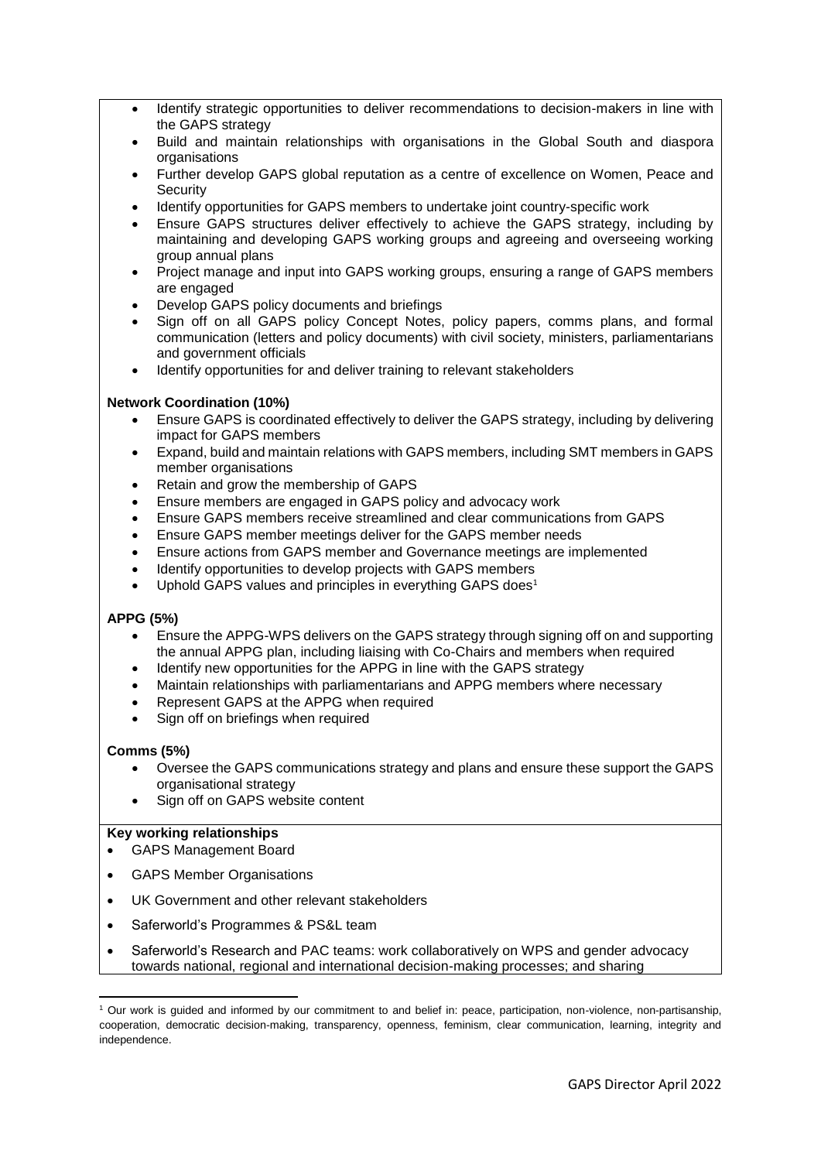- Identify strategic opportunities to deliver recommendations to decision-makers in line with the GAPS strategy
- Build and maintain relationships with organisations in the Global South and diaspora organisations
- Further develop GAPS global reputation as a centre of excellence on Women, Peace and **Security**
- Identify opportunities for GAPS members to undertake joint country-specific work
- Ensure GAPS structures deliver effectively to achieve the GAPS strategy, including by maintaining and developing GAPS working groups and agreeing and overseeing working group annual plans
- Project manage and input into GAPS working groups, ensuring a range of GAPS members are engaged
- Develop GAPS policy documents and briefings
- Sign off on all GAPS policy Concept Notes, policy papers, comms plans, and formal communication (letters and policy documents) with civil society, ministers, parliamentarians and government officials
- Identify opportunities for and deliver training to relevant stakeholders

# **Network Coordination (10%)**

- Ensure GAPS is coordinated effectively to deliver the GAPS strategy, including by delivering impact for GAPS members
- Expand, build and maintain relations with GAPS members, including SMT members in GAPS member organisations
- Retain and grow the membership of GAPS
- Ensure members are engaged in GAPS policy and advocacy work
- Ensure GAPS members receive streamlined and clear communications from GAPS
- Ensure GAPS member meetings deliver for the GAPS member needs
- Ensure actions from GAPS member and Governance meetings are implemented
- Identify opportunities to develop projects with GAPS members
- Uphold GAPS values and principles in everything GAPS does<sup>1</sup>

# **APPG (5%)**

- Ensure the APPG-WPS delivers on the GAPS strategy through signing off on and supporting the annual APPG plan, including liaising with Co-Chairs and members when required
- Identify new opportunities for the APPG in line with the GAPS strategy
- Maintain relationships with parliamentarians and APPG members where necessary
- Represent GAPS at the APPG when required
- Sign off on briefings when required

# **Comms (5%)**

- Oversee the GAPS communications strategy and plans and ensure these support the GAPS organisational strategy
- Sign off on GAPS website content

# **Key working relationships**

- GAPS Management Board
- GAPS Member Organisations
- UK Government and other relevant stakeholders
- Saferworld's Programmes & PS&L team
- Saferworld's Research and PAC teams: work collaboratively on WPS and gender advocacy towards national, regional and international decision-making processes; and sharing

<sup>1</sup> <sup>1</sup> Our work is guided and informed by our commitment to and belief in: peace, participation, non-violence, non-partisanship, cooperation, democratic decision-making, transparency, openness, feminism, clear communication, learning, integrity and independence.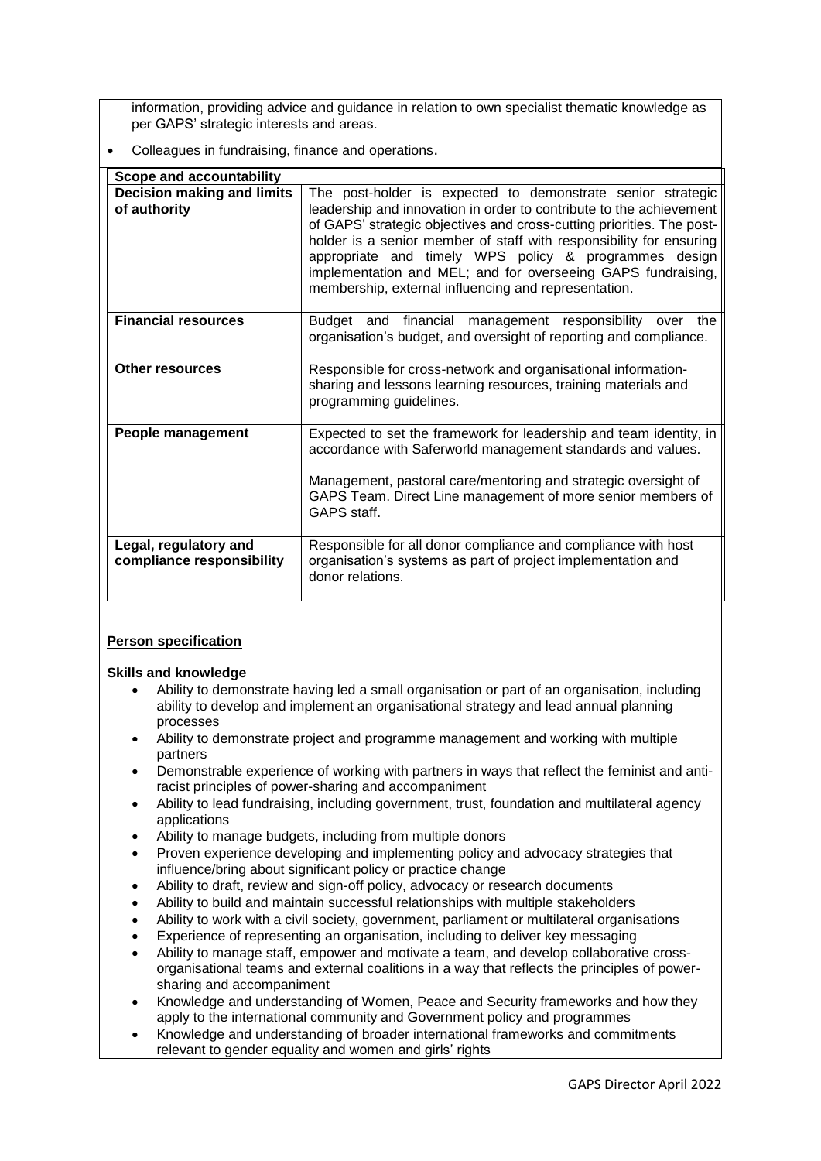information, providing advice and guidance in relation to own specialist thematic knowledge as per GAPS' strategic interests and areas.

Colleagues in fundraising, finance and operations.

| <b>Scope and accountability</b>                    |                                                                                                                                                                                                                                                                                                                                                                                                                                                                     |
|----------------------------------------------------|---------------------------------------------------------------------------------------------------------------------------------------------------------------------------------------------------------------------------------------------------------------------------------------------------------------------------------------------------------------------------------------------------------------------------------------------------------------------|
| <b>Decision making and limits</b><br>of authority  | The post-holder is expected to demonstrate senior strategic<br>leadership and innovation in order to contribute to the achievement<br>of GAPS' strategic objectives and cross-cutting priorities. The post-<br>holder is a senior member of staff with responsibility for ensuring<br>appropriate and timely WPS policy & programmes design<br>implementation and MEL; and for overseeing GAPS fundraising,<br>membership, external influencing and representation. |
| <b>Financial resources</b>                         | Budget and financial management responsibility over<br>the<br>organisation's budget, and oversight of reporting and compliance.                                                                                                                                                                                                                                                                                                                                     |
| <b>Other resources</b>                             | Responsible for cross-network and organisational information-<br>sharing and lessons learning resources, training materials and<br>programming guidelines.                                                                                                                                                                                                                                                                                                          |
| People management                                  | Expected to set the framework for leadership and team identity, in<br>accordance with Saferworld management standards and values.<br>Management, pastoral care/mentoring and strategic oversight of<br>GAPS Team. Direct Line management of more senior members of<br>GAPS staff.                                                                                                                                                                                   |
| Legal, regulatory and<br>compliance responsibility | Responsible for all donor compliance and compliance with host<br>organisation's systems as part of project implementation and<br>donor relations.                                                                                                                                                                                                                                                                                                                   |

# **Person specification**

# **Skills and knowledge**

- Ability to demonstrate having led a small organisation or part of an organisation, including ability to develop and implement an organisational strategy and lead annual planning processes
- Ability to demonstrate project and programme management and working with multiple partners
- Demonstrable experience of working with partners in ways that reflect the feminist and antiracist principles of power-sharing and accompaniment
- Ability to lead fundraising, including government, trust, foundation and multilateral agency applications
- Ability to manage budgets, including from multiple donors
- Proven experience developing and implementing policy and advocacy strategies that influence/bring about significant policy or practice change
- Ability to draft, review and sign-off policy, advocacy or research documents
- Ability to build and maintain successful relationships with multiple stakeholders
- Ability to work with a civil society, government, parliament or multilateral organisations
- Experience of representing an organisation, including to deliver key messaging
- Ability to manage staff, empower and motivate a team, and develop collaborative crossorganisational teams and external coalitions in a way that reflects the principles of powersharing and accompaniment
- Knowledge and understanding of Women, Peace and Security frameworks and how they apply to the international community and Government policy and programmes
- Knowledge and understanding of broader international frameworks and commitments relevant to gender equality and women and girls' rights